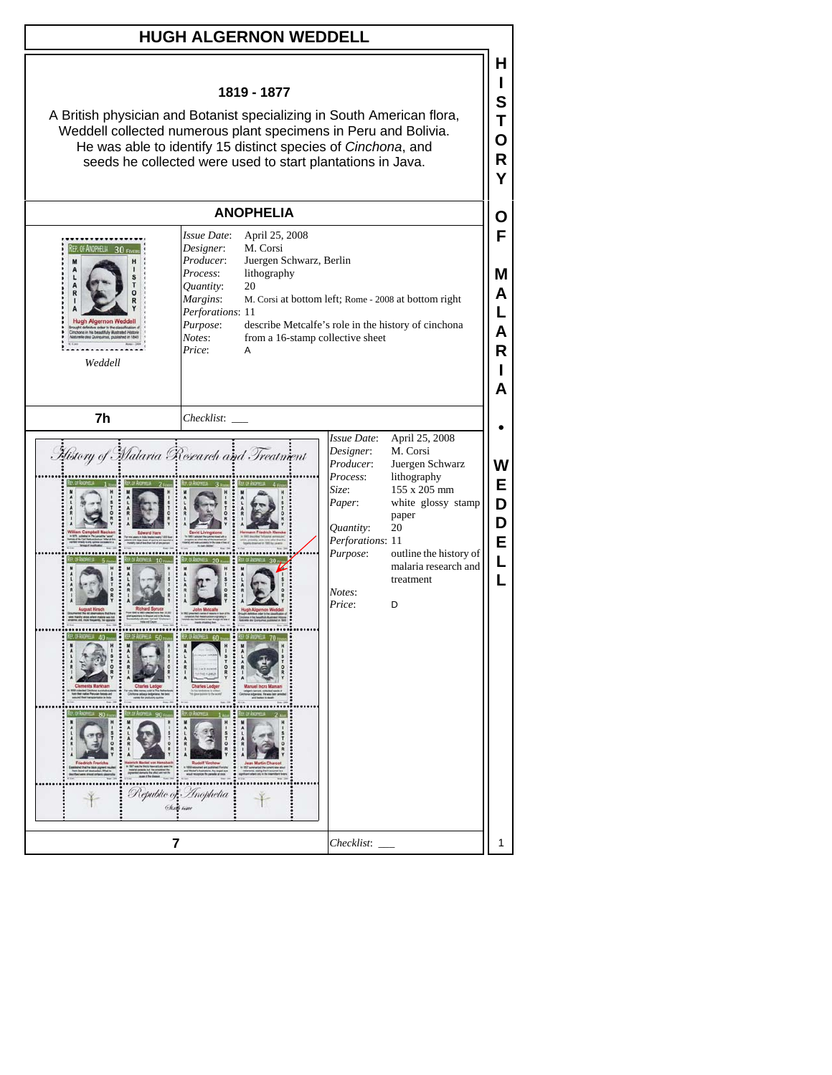